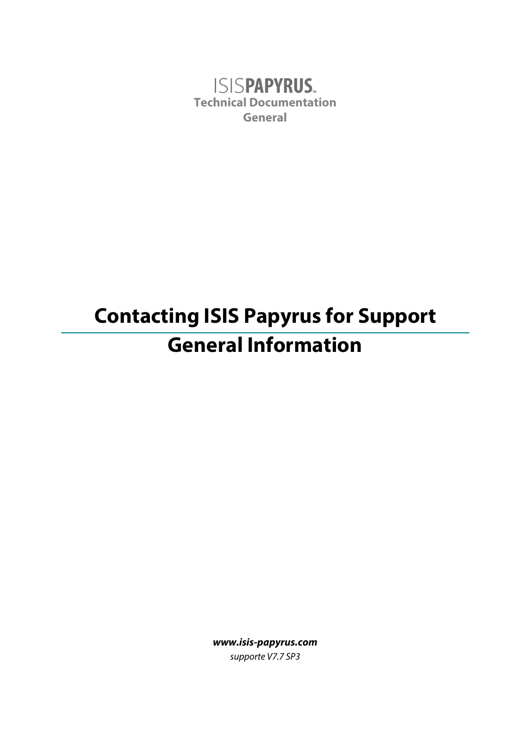**ISISPAPYRUS.** Technical Documentation General

# Contacting ISIS Papyrus for Support General Information

www.isis-papyrus.com supporte V7.7 SP3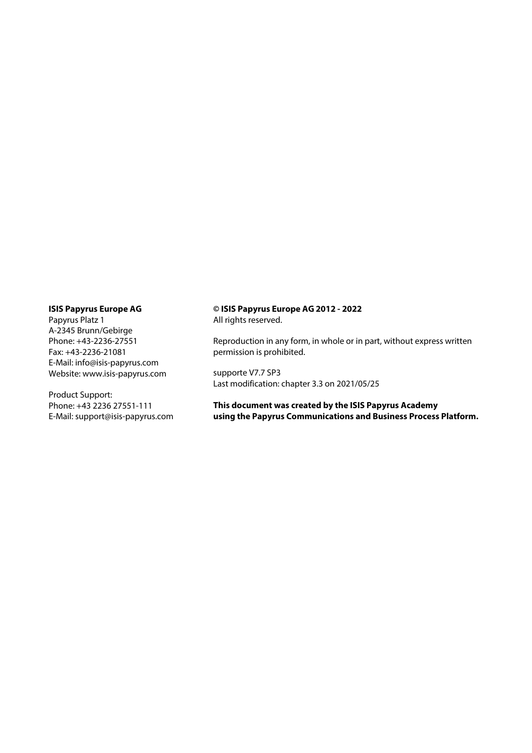#### ISIS Papyrus Europe AG

Papyrus Platz 1 A-2345 Brunn/Gebirge Phone: +43-2236-27551 Fax: +43-2236-21081 E-Mail: info@isis-papyrus.com Website: www.isis-papyrus.com

Product Support: Phone: +43 2236 27551-111 E-Mail: support@isis-papyrus.com

#### © ISIS Papyrus Europe AG 2012 - 2022 All rights reserved.

Reproduction in any form, in whole or in part, without express written permission is prohibited.

supporte V7.7 SP3 Last modification: chapter 3.3 on 2021/05/25

This document was created by the ISIS Papyrus Academy using the Papyrus Communications and Business Process Platform.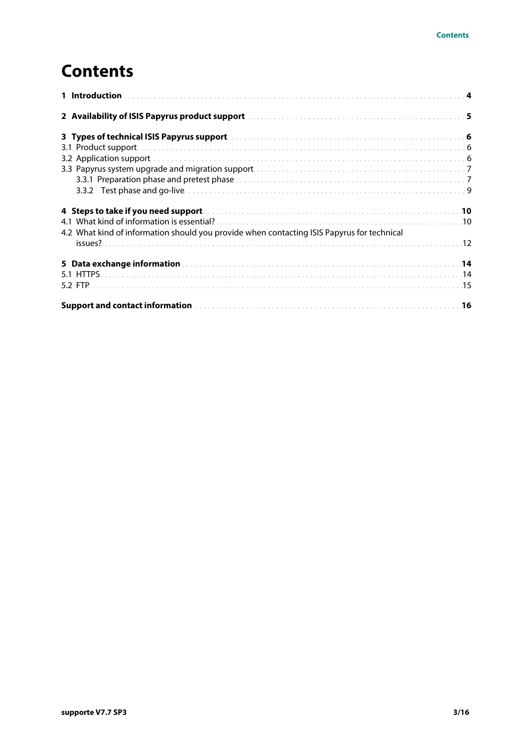### **Contents**

| 2 Availability of ISIS Papyrus product support manuscription and container and 5           |  |
|--------------------------------------------------------------------------------------------|--|
|                                                                                            |  |
|                                                                                            |  |
|                                                                                            |  |
|                                                                                            |  |
|                                                                                            |  |
|                                                                                            |  |
|                                                                                            |  |
|                                                                                            |  |
| 4.2 What kind of information should you provide when contacting ISIS Papyrus for technical |  |
|                                                                                            |  |
|                                                                                            |  |
|                                                                                            |  |
|                                                                                            |  |
|                                                                                            |  |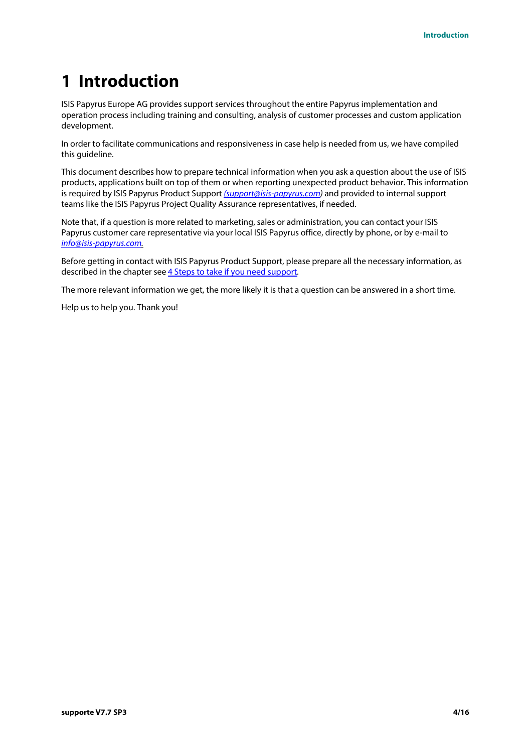## <span id="page-3-0"></span>1 Introduction

ISIS Papyrus Europe AG provides support services throughout the entire Papyrus implementation and operation process including training and consulting, analysis of customer processes and custom application development.

In order to facilitate communications and responsiveness in case help is needed from us, we have compiled this guideline.

This document describes how to prepare technical information when you ask a question about the use of ISIS products, applications built on top of them or when reporting unexpected product behavior. This information is required by ISIS Papyrus Product Support [\(support@isis-papyrus.com\)](mailto:%28support@isis-papayrus.com) and provided to internal support teams like the ISIS Papyrus Project Quality Assurance representatives, if needed.

Note that, if a question is more related to marketing, sales or administration, you can contact your ISIS Papyrus customer care representative via your local ISIS Papyrus office, directly by phone, or by e-mail to [info@isis-papyrus.com](mailto:info@isis-papyrus.com).

Before getting in contact with ISIS Papyrus Product Support, please prepare all the necessary information, as described in the chapter see [4 Steps to take if you need support.](#page-9-0)

The more relevant information we get, the more likely it is that a question can be answered in a short time.

Help us to help you. Thank you!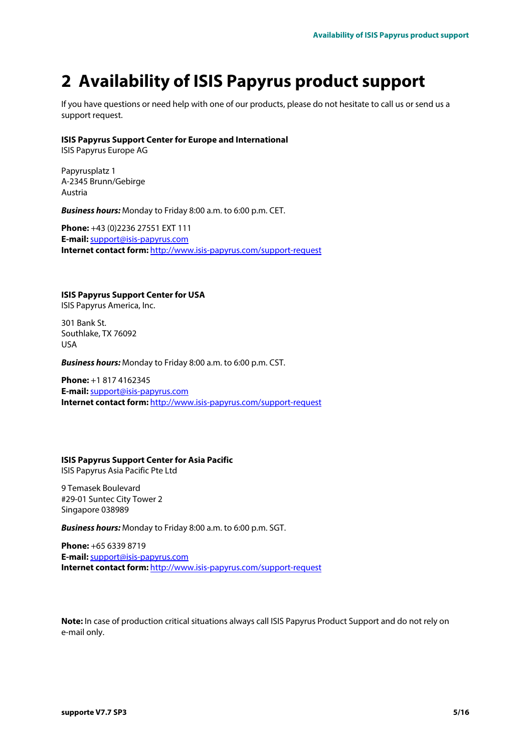## <span id="page-4-0"></span>2 Availability of ISIS Papyrus product support

If you have questions or need help with one of our products, please do not hesitate to call us or send us a support request.

#### ISIS Papyrus Support Center for Europe and International

ISIS Papyrus Europe AG

Papyrusplatz 1 A-2345 Brunn/Gebirge Austria

Business hours: Monday to Friday 8:00 a.m. to 6:00 p.m. CET.

Phone: +43 (0)2236 27551 EXT 111 E-mail: [support@isis-papyrus.com](mailto:support@isis-papyrus.com) Internet contact form: <http://www.isis-papyrus.com/support-request>

ISIS Papyrus Support Center for USA

ISIS Papyrus America, Inc.

301 Bank St. Southlake, TX 76092 USA

Business hours: Monday to Friday 8:00 a.m. to 6:00 p.m. CST.

Phone: +1 817 4162345 E-mail: [support@isis-papyrus.com](mailto:support@isis-papyrus.com) Internet contact form: <http://www.isis-papyrus.com/support-request>

#### ISIS Papyrus Support Center for Asia Pacific ISIS Papyrus Asia Pacific Pte Ltd

9 Temasek Boulevard #29-01 Suntec City Tower 2 Singapore 038989

Business hours: Monday to Friday 8:00 a.m. to 6:00 p.m. SGT.

Phone: +65 6339 8719 E-mail:[support@isis-papyrus.com](mailto:support@isis-papyrus.com) Internet contact form: <http://www.isis-papyrus.com/support-request>

Note: In case of production critical situations always call ISIS Papyrus Product Support and do not rely on e-mail only.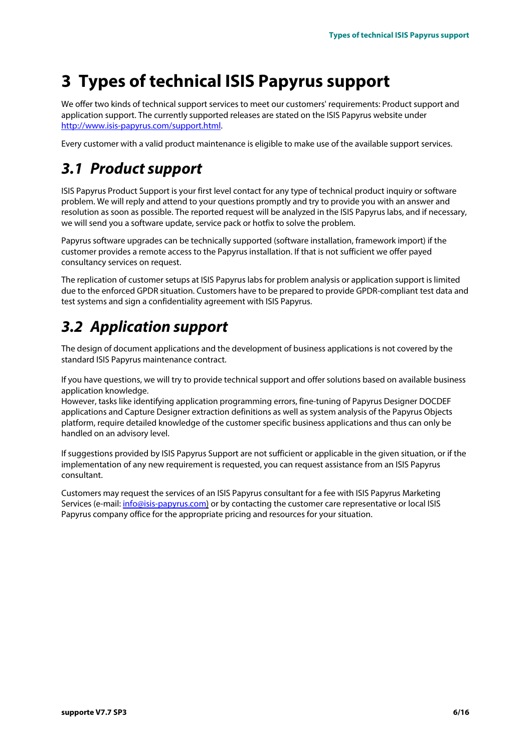### <span id="page-5-0"></span>3 Types of technical ISIS Papyrus support

We offer two kinds of technical support services to meet our customers' requirements: Product support and application support. The currently supported releases are stated on the ISIS Papyrus website under [http://www.isis-papyrus.com/support.html](http://www.isis-papyrus.com/support).

Every customer with a valid product maintenance is eligible to make use of the available support services.

### <span id="page-5-1"></span>3.1 Product support

ISIS Papyrus Product Support is your first level contact for any type of technical product inquiry or software problem. We will reply and attend to your questions promptly and try to provide you with an answer and resolution as soon as possible. The reported request will be analyzed in the ISIS Papyrus labs, and if necessary, we will send you a software update, service pack or hotfix to solve the problem.

Papyrus software upgrades can be technically supported (software installation, framework import) if the customer provides a remote access to the Papyrus installation. If that is not sufficient we offer payed consultancy services on request.

The replication of customer setups at ISIS Papyrus labs for problem analysis or application support is limited due to the enforced GPDR situation. Customers have to be prepared to provide GPDR-compliant test data and test systems and sign a confidentiality agreement with ISIS Papyrus.

### <span id="page-5-2"></span>3.2 Application support

The design of document applications and the development of business applications is not covered by the standard ISIS Papyrus maintenance contract.

If you have questions, we will try to provide technical support and offer solutions based on available business application knowledge.

However, tasks like identifying application programming errors, fine-tuning of Papyrus Designer DOCDEF applications and Capture Designer extraction definitions as well as system analysis of the Papyrus Objects platform, require detailed knowledge of the customer specific business applications and thus can only be handled on an advisory level.

If suggestions provided by ISIS Papyrus Support are not sufficient or applicable in the given situation, or if the implementation of any new requirement is requested, you can request assistance from an ISIS Papyrus consultant.

Customers may request the services of an ISIS Papyrus consultant for a fee with ISIS Papyrus Marketing Services (e-mail: [info@isis-papyrus.com\)](mailto:info@isis-papyrus.com) or by contacting the customer care representative or local ISIS Papyrus company office for the appropriate pricing and resources for your situation.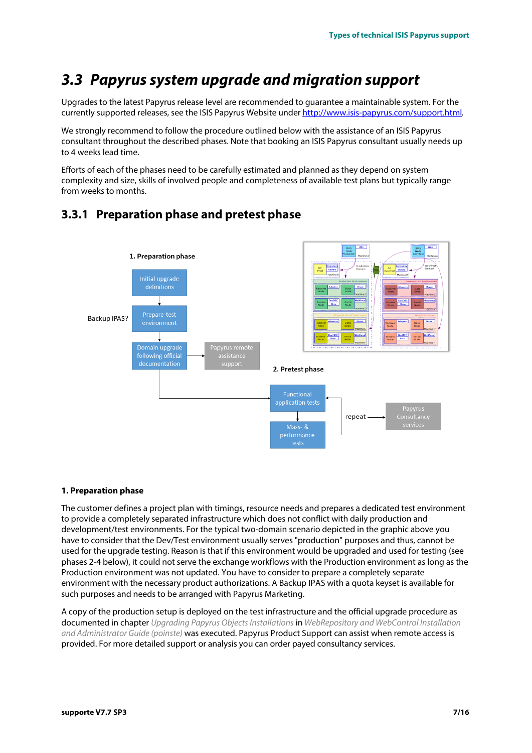### <span id="page-6-0"></span>3.3 Papyrus system upgrade and migration support

Upgrades to the latest Papyrus release level are recommended to guarantee a maintainable system. For the currently supported releases, see the ISIS Papyrus Website under [http://www.isis-papyrus.com/support.html](http://www.isis-papyrus.com/support).

We strongly recommend to follow the procedure outlined below with the assistance of an ISIS Papyrus consultant throughout the described phases. Note that booking an ISIS Papyrus consultant usually needs up to 4 weeks lead time.

Efforts of each of the phases need to be carefully estimated and planned as they depend on system complexity and size, skills of involved people and completeness of available test plans but typically range from weeks to months.



### <span id="page-6-1"></span>3.3.1 Preparation phase and pretest phase

#### 1. Preparation phase

The customer defines a project plan with timings, resource needs and prepares a dedicated test environment to provide a completely separated infrastructure which does not conflict with daily production and development/test environments. For the typical two-domain scenario depicted in the graphic above you have to consider that the Dev/Test environment usually serves "production" purposes and thus, cannot be used for the upgrade testing. Reason is that if this environment would be upgraded and used for testing (see phases 2-4 below), it could not serve the exchange workflows with the Production environment as long as the Production environment was not updated. You have to consider to prepare a completely separate environment with the necessary product authorizations. A Backup IPAS with a quota keyset is available for such purposes and needs to be arranged with Papyrus Marketing.

A copy of the production setup is deployed on the test infrastructure and the official upgrade procedure as documented in chapter Upgrading Papyrus Objects Installations in WebRepository and WebControl Installation and Administrator Guide (poinste) was executed. Papyrus Product Support can assist when remote access is provided. For more detailed support or analysis you can order payed consultancy services.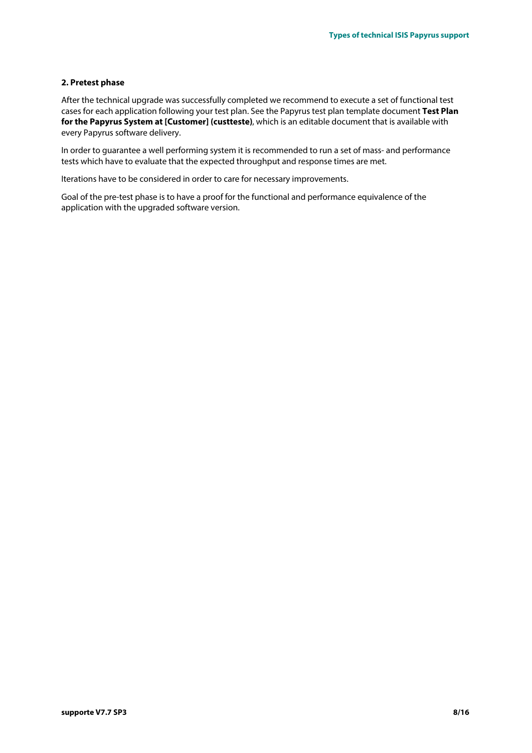#### 2. Pretest phase

After the technical upgrade was successfully completed we recommend to execute a set of functional test cases for each application following your test plan. See the Papyrus test plan template document Test Plan for the Papyrus System at [Customer] (custteste), which is an editable document that is available with every Papyrus software delivery.

In order to guarantee a well performing system it is recommended to run a set of mass- and performance tests which have to evaluate that the expected throughput and response times are met.

Iterations have to be considered in order to care for necessary improvements.

Goal of the pre-test phase is to have a proof for the functional and performance equivalence of the application with the upgraded software version.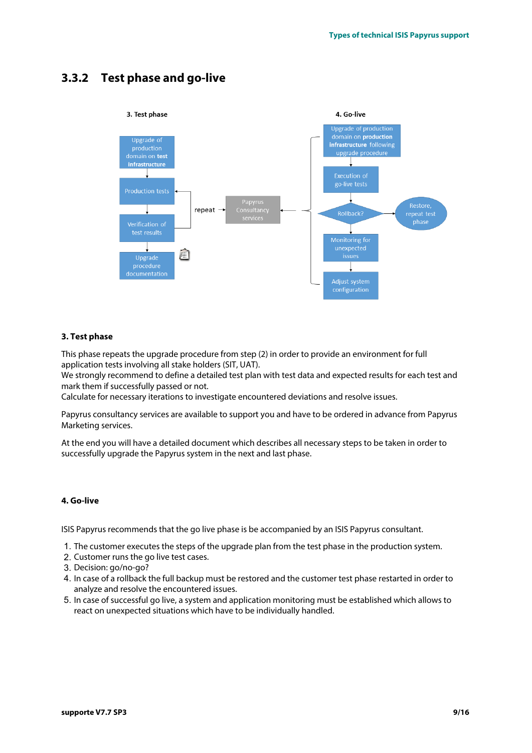### <span id="page-8-0"></span>3.3.2 Test phase and go-live



#### 3. Test phase

This phase repeats the upgrade procedure from step (2) in order to provide an environment for full application tests involving all stake holders (SIT, UAT).

We strongly recommend to define a detailed test plan with test data and expected results for each test and mark them if successfully passed or not.

Calculate for necessary iterations to investigate encountered deviations and resolve issues.

Papyrus consultancy services are available to support you and have to be ordered in advance from Papyrus Marketing services.

At the end you will have a detailed document which describes all necessary steps to be taken in order to successfully upgrade the Papyrus system in the next and last phase.

#### 4. Go-live

ISIS Papyrus recommends that the go live phase is be accompanied by an ISIS Papyrus consultant.

- 1. The customer executes the steps of the upgrade plan from the test phase in the production system.
- 2. Customer runs the go live test cases.
- 3. Decision: go/no-go?
- 4. In case of a rollback the full backup must be restored and the customer test phase restarted in order to analyze and resolve the encountered issues.
- 5. In case of successful go live, a system and application monitoring must be established which allows to react on unexpected situations which have to be individually handled.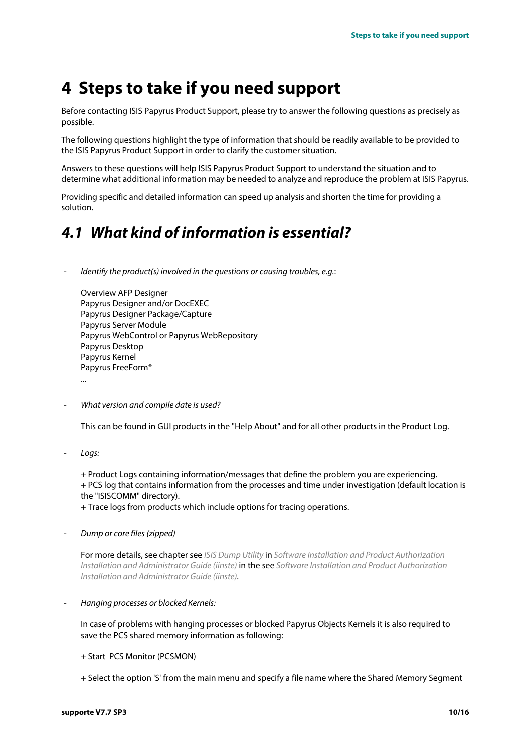### <span id="page-9-0"></span>4 Steps to take if you need support

Before contacting ISIS Papyrus Product Support, please try to answer the following questions as precisely as possible.

The following questions highlight the type of information that should be readily available to be provided to the ISIS Papyrus Product Support in order to clarify the customer situation.

Answers to these questions will help ISIS Papyrus Product Support to understand the situation and to determine what additional information may be needed to analyze and reproduce the problem at ISIS Papyrus.

Providing specific and detailed information can speed up analysis and shorten the time for providing a solution.

### <span id="page-9-1"></span>4.1 What kind of information is essential?

Identify the product(s) involved in the questions or causing troubles, e.g.:

Overview AFP Designer Papyrus Designer and/or DocEXEC Papyrus Designer Package/Capture Papyrus Server Module Papyrus WebControl or Papyrus WebRepository Papyrus Desktop Papyrus Kernel Papyrus FreeForm® ...

What version and compile date is used?

This can be found in GUI products in the "Help About" and for all other products in the Product Log.

Loas:

+ Product Logs containing information/messages that define the problem you are experiencing. + PCS log that contains information from the processes and time under investigation (default location is the "ISISCOMM" directory).

+ Trace logs from products which include options for tracing operations.

Dump or core files (zipped)

For more details, see chapter see ISIS Dump Utility in Software Installation and Product Authorization Installation and Administrator Guide (iinste) in the see Software Installation and Product Authorization Installation and Administrator Guide (iinste).

- Hanging processes or blocked Kernels:

In case of problems with hanging processes or blocked Papyrus Objects Kernels it is also required to save the PCS shared memory information as following:

- + Start PCS Monitor (PCSMON)
- + Select the option 'S' from the main menu and specify a file name where the Shared Memory Segment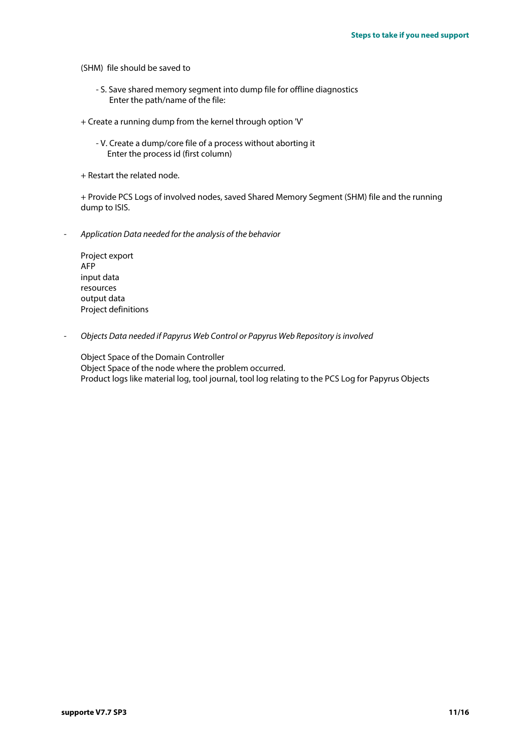(SHM) file should be saved to

- S. Save shared memory segment into dump file for offline diagnostics Enter the path/name of the file:
- + Create a running dump from the kernel through option 'V'
	- V. Create a dump/core file of a process without aborting it Enter the process id (first column)
- + Restart the related node.

+ Provide PCS Logs of involved nodes, saved Shared Memory Segment (SHM) file and the running dump to ISIS.

- Application Data needed for the analysis of the behavior

Project export AFP input data resources output data Project definitions

- Objects Data needed if Papyrus Web Control or Papyrus Web Repository is involved

Object Space of the Domain Controller Object Space of the node where the problem occurred. Product logs like material log, tool journal, tool log relating to the PCS Log for Papyrus Objects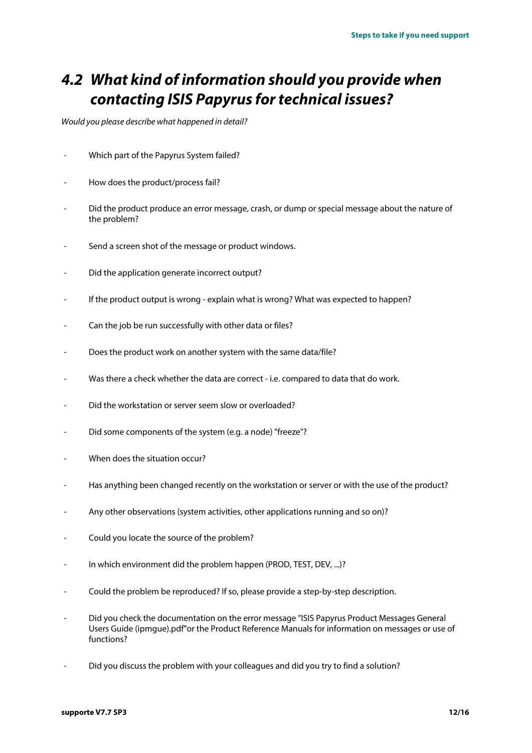### <span id="page-11-0"></span>4.2 What kind of information should you provide when contacting ISIS Papyrus for technical issues?

Would you please describe what happened in detail?

- Which part of the Papyrus System failed?
- How does the product/process fail?
- Did the product produce an error message, crash, or dump or special message about the nature of the problem?
- Send a screen shot of the message or product windows.
- Did the application generate incorrect output?
- If the product output is wrong explain what is wrong? What was expected to happen?
- Can the job be run successfully with other data or files?
- Does the product work on another system with the same data/file?
- Was there a check whether the data are correct i.e. compared to data that do work.
- Did the workstation or server seem slow or overloaded?
- Did some components of the system (e.g. a node) "freeze"?
- When does the situation occur?
- Has anything been changed recently on the workstation or server or with the use of the product?
- Any other observations (system activities, other applications running and so on)?
- Could you locate the source of the problem?
- In which environment did the problem happen (PROD, TEST, DEV, ...)?
- Could the problem be reproduced? If so, please provide a step-by-step description.
- Did you check the documentation on the error message "ISIS Papyrus Product Messages General Users Guide (ipmgue).pdf"or the Product Reference Manuals for information on messages or use of functions?
- Did you discuss the problem with your colleagues and did you try to find a solution?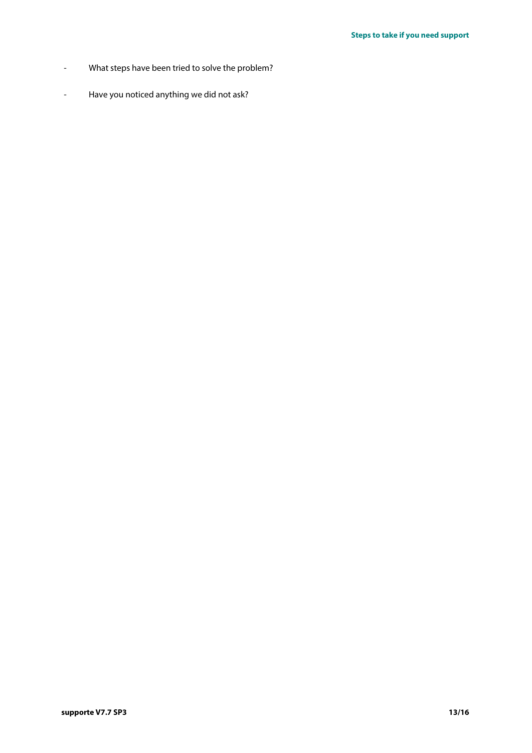- What steps have been tried to solve the problem?
- Have you noticed anything we did not ask?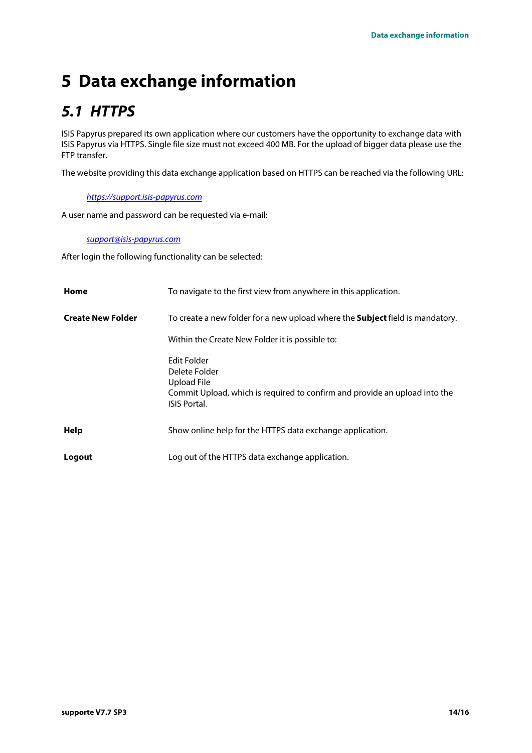# <span id="page-13-0"></span>5 Data exchange information

### <span id="page-13-1"></span>5.1 HTTPS

ISIS Papyrus prepared its own application where our customers have the opportunity to exchange data with ISIS Papyrus via HTTPS. Single file size must not exceed 400 MB. For the upload of bigger data please use the FTP transfer.

The website providing this data exchange application based on HTTPS can be reached via the following URL:

<https://support.isis-papyrus.com>

A user name and password can be requested via e-mail:

#### [support@isis-papyrus.com](mailto:support@isis-papyrus.com)

After login the following functionality can be selected:

| Home                     | To navigate to the first view from anywhere in this application.                                                                                 |
|--------------------------|--------------------------------------------------------------------------------------------------------------------------------------------------|
| <b>Create New Folder</b> | To create a new folder for a new upload where the <b>Subject</b> field is mandatory.                                                             |
|                          | Within the Create New Folder it is possible to:                                                                                                  |
|                          | Edit Folder<br>Delete Folder<br>Upload File<br>Commit Upload, which is required to confirm and provide an upload into the<br><b>ISIS Portal.</b> |
| Help                     | Show online help for the HTTPS data exchange application.                                                                                        |
| Logout                   | Log out of the HTTPS data exchange application.                                                                                                  |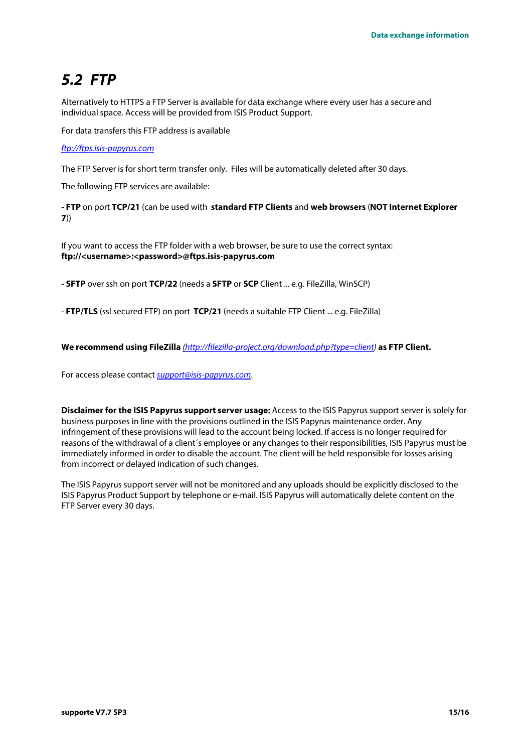### <span id="page-14-0"></span>5.2 FTP

Alternatively to HTTPS a FTP Server is available for data exchange where every user has a secure and individual space. Access will be provided from ISIS Product Support.

For data transfers this FTP address is available

#### ftp://ftps.isis-papyrus.com

The FTP Server is for short term transfer only. Files will be automatically deleted after 30 days.

The following FTP services are available:

- FTP on port TCP/21 (can be used with standard FTP Clients and web browsers (NOT Internet Explorer 7))

If you want to access the FTP folder with a web browser, be sure to use the correct syntax: ftp://<username>:<password>@ftps.isis-papyrus.com

- **SFTP** over ssh on port TCP/22 (needs a **SFTP** or **SCP** Client ... e.g. FileZilla, WinSCP)

- FTP/TLS (ssl secured FTP) on port TCP/21 (needs a suitable FTP Client ... e.g. FileZilla)

We recommend using FileZilla [\(http://filezilla-project.org/download.php?type=client\)](http://filezilla-project.org/download.php?type=client) as FTP Client.

For access please contact [support@isis-papyrus.com](mailto:%28support@isis-papayrus.com).

Disclaimer for the ISIS Papyrus support server usage: Access to the ISIS Papyrus support server is solely for business purposes in line with the provisions outlined in the ISIS Papyrus maintenance order. Any infringement of these provisions will lead to the account being locked. If access is no longer required for reasons of the withdrawal of a client´s employee or any changes to their responsibilities, ISIS Papyrus must be immediately informed in order to disable the account. The client will be held responsible for losses arising from incorrect or delayed indication of such changes.

The ISIS Papyrus support server will not be monitored and any uploads should be explicitly disclosed to the ISIS Papyrus Product Support by telephone or e-mail. ISIS Papyrus will automatically delete content on the FTP Server every 30 days.